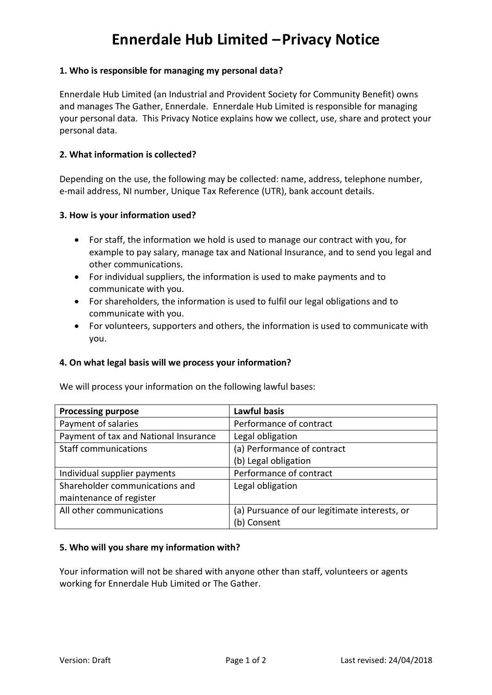# **Ennerdale Hub Limited –Privacy Notice**

## **1. Who is responsible for managing my personal data?**

Ennerdale Hub Limited (an Industrial and Provident Society for Community Benefit) owns and manages The Gather, Ennerdale. Ennerdale Hub Limited is responsible for managing your personal data. This Privacy Notice explains how we collect, use, share and protect your personal data.

## **2. What information is collected?**

Depending on the use, the following may be collected: name, address, telephone number, e-mail address, NI number, Unique Tax Reference (UTR), bank account details.

## **3. How is your information used?**

- For staff, the information we hold is used to manage our contract with you, for example to pay salary, manage tax and National Insurance, and to send you legal and other communications.
- For individual suppliers, the information is used to make payments and to communicate with you.
- For shareholders, the information is used to fulfil our legal obligations and to communicate with you.
- For volunteers, supporters and others, the information is used to communicate with you.

## **4. On what legal basis will we process your information?**

We will process your information on the following lawful bases:

| <b>Processing purpose</b>             | <b>Lawful basis</b>                           |
|---------------------------------------|-----------------------------------------------|
| Payment of salaries                   | Performance of contract                       |
| Payment of tax and National Insurance | Legal obligation                              |
| <b>Staff communications</b>           | (a) Performance of contract                   |
|                                       | (b) Legal obligation                          |
| Individual supplier payments          | Performance of contract                       |
| Shareholder communications and        | Legal obligation                              |
| maintenance of register               |                                               |
| All other communications              | (a) Pursuance of our legitimate interests, or |
|                                       | (b) Consent                                   |

## **5. Who will you share my information with?**

Your information will not be shared with anyone other than staff, volunteers or agents working for Ennerdale Hub Limited or The Gather.